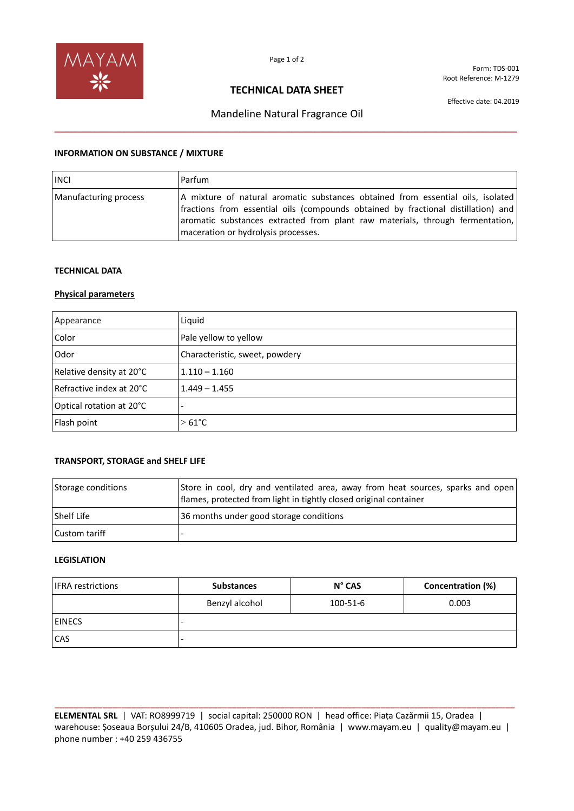

Form: TDS-001 Root Reference: M-1279

# **TECHNICAL DATA SHEET**

Effective date: 04.2019

# Mandeline Natural Fragrance Oil **\_\_\_\_\_\_\_\_\_\_\_\_\_\_\_\_\_\_\_\_\_\_\_\_\_\_\_\_\_\_\_\_\_\_\_\_\_\_\_\_\_\_\_\_\_\_\_\_\_\_\_\_\_\_\_\_\_\_\_\_\_\_\_\_\_\_\_\_\_\_\_\_\_\_\_\_\_\_\_\_**

## **INFORMATION ON SUBSTANCE / MIXTURE**

| <b>INCI</b>           | Parfum                                                                                                                                                                                                                                                                                       |
|-----------------------|----------------------------------------------------------------------------------------------------------------------------------------------------------------------------------------------------------------------------------------------------------------------------------------------|
| Manufacturing process | A mixture of natural aromatic substances obtained from essential oils, isolated<br>fractions from essential oils (compounds obtained by fractional distillation) and<br>aromatic substances extracted from plant raw materials, through fermentation,<br>maceration or hydrolysis processes. |

### **TECHNICAL DATA**

#### **Physical parameters**

| Appearance               | Liquid                         |
|--------------------------|--------------------------------|
| Color                    | Pale yellow to yellow          |
| Odor                     | Characteristic, sweet, powdery |
| Relative density at 20°C | $1.110 - 1.160$                |
| Refractive index at 20°C | $1.449 - 1.455$                |
| Optical rotation at 20°C |                                |
| Flash point              | $>61^{\circ}$ C                |

## **TRANSPORT, STORAGE and SHELF LIFE**

| Storage conditions | Store in cool, dry and ventilated area, away from heat sources, sparks and open<br>flames, protected from light in tightly closed original container |
|--------------------|------------------------------------------------------------------------------------------------------------------------------------------------------|
| l Shelf Life       | 36 months under good storage conditions                                                                                                              |
| l Custom tariff    |                                                                                                                                                      |

## **LEGISLATION**

| <b>IFRA</b> restrictions | <b>Substances</b> | $N^{\circ}$ CAS | Concentration (%) |
|--------------------------|-------------------|-----------------|-------------------|
|                          | Benzyl alcohol    | 100-51-6        | 0.003             |
| <b>EINECS</b>            |                   |                 |                   |
| <b>CAS</b>               |                   |                 |                   |

**\_\_\_\_\_\_\_\_\_\_\_\_\_\_\_\_\_\_\_\_\_\_\_\_\_\_\_\_\_\_\_\_\_\_\_\_\_\_\_\_\_\_\_\_\_\_\_\_\_\_\_\_\_\_\_\_\_\_\_\_\_\_\_\_\_\_\_\_\_\_\_\_\_\_\_\_\_\_\_\_\_\_\_\_\_\_\_\_\_\_\_\_\_\_\_\_ ELEMENTAL SRL** | VAT: RO8999719 | social capital: 250000 RON | head office: Piața Cazărmii 15, Oradea | warehouse: Șoseaua Borșului 24/B, 410605 Oradea, jud. Bihor, România | www.mayam.eu | quality@mayam.eu | phone number : +40 259 436755